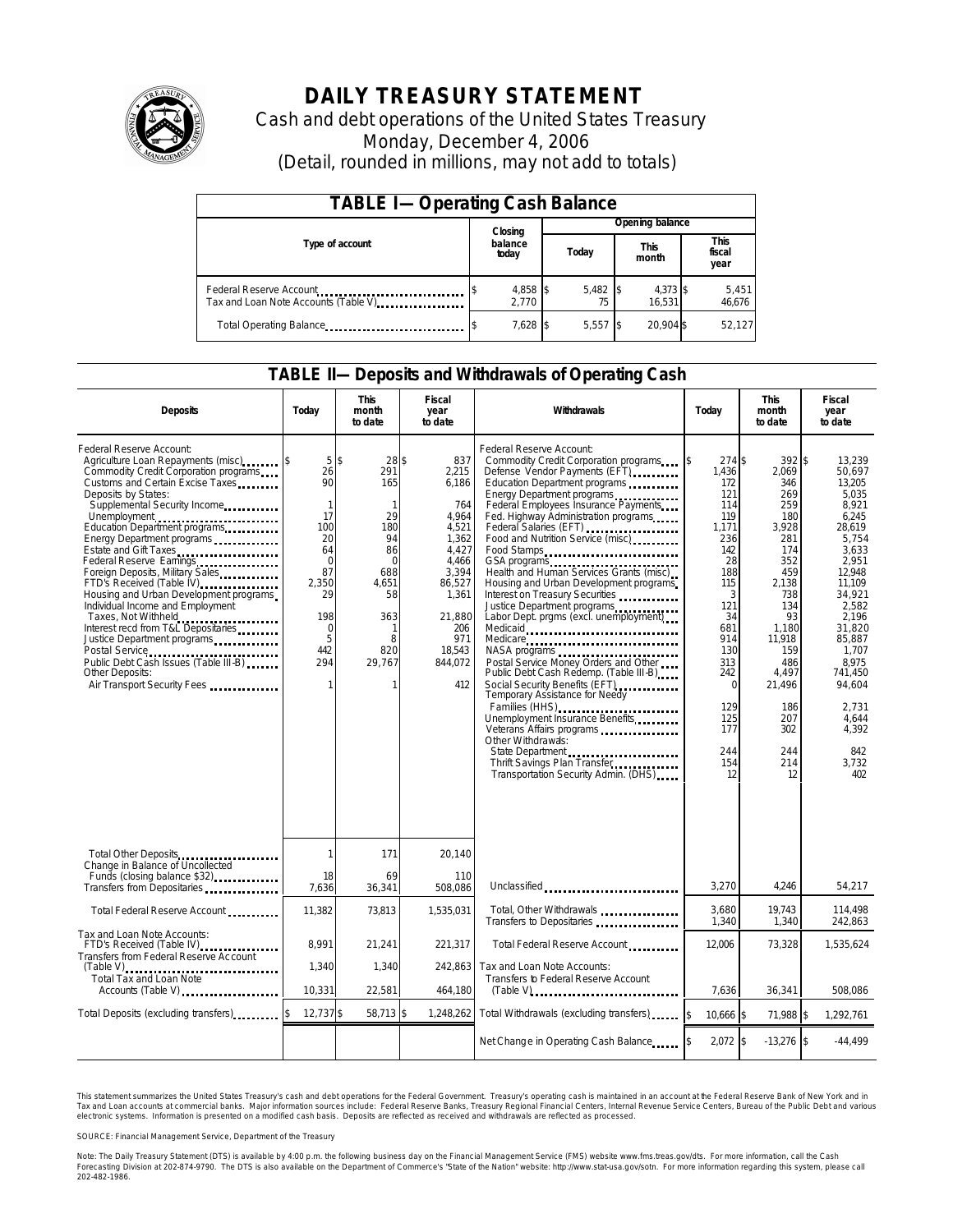

# **DAILY TREASURY STATEMENT**

Cash and debt operations of the United States Treasury Monday, December 4, 2006 (Detail, rounded in millions, may not add to totals)

| <b>TABLE I-Operating Cash Balance</b>                            |                  |                   |       |                 |                      |                    |  |                               |  |
|------------------------------------------------------------------|------------------|-------------------|-------|-----------------|----------------------|--------------------|--|-------------------------------|--|
|                                                                  |                  | Closing           |       | Opening balance |                      |                    |  |                               |  |
| Type of account                                                  | balance<br>today |                   | Today |                 | <b>This</b><br>month |                    |  | <b>This</b><br>fiscal<br>year |  |
| Federal Reserve Account<br>Tax and Loan Note Accounts (Table V). |                  | 4,858 \$<br>2.770 |       | 5,482           |                      | 4,373 \$<br>16.531 |  | 5,451<br>46,676               |  |
| Total Operating Balance                                          |                  | 7,628 \$          |       | 5.557           |                      | 20.904 \$          |  | 52.127                        |  |

### **TABLE II—Deposits and Withdrawals of Operating Cash**

| <b>Deposits</b>                                                                                                                                                                                                                                                                                                                                                                                                                                                                                                                                                                                                                                                                                                                                 | Todav                                                                                                                                  | <b>This</b><br>month<br>to date                                                                                                      | <b>Fiscal</b><br>year<br>to date                                                                                                                          | Withdrawals                                                                                                                                                                                                                                                                                                                                                                                                                                                                                                                                                                                                                                                                                                                                                                                                                                                                                                                                          | Todav                                                                                                                                                                                            | <b>This</b><br>month<br>to date                                                                                                                                                                              | Fiscal<br>year<br>to date                                                                                                                                                                                                                               |
|-------------------------------------------------------------------------------------------------------------------------------------------------------------------------------------------------------------------------------------------------------------------------------------------------------------------------------------------------------------------------------------------------------------------------------------------------------------------------------------------------------------------------------------------------------------------------------------------------------------------------------------------------------------------------------------------------------------------------------------------------|----------------------------------------------------------------------------------------------------------------------------------------|--------------------------------------------------------------------------------------------------------------------------------------|-----------------------------------------------------------------------------------------------------------------------------------------------------------|------------------------------------------------------------------------------------------------------------------------------------------------------------------------------------------------------------------------------------------------------------------------------------------------------------------------------------------------------------------------------------------------------------------------------------------------------------------------------------------------------------------------------------------------------------------------------------------------------------------------------------------------------------------------------------------------------------------------------------------------------------------------------------------------------------------------------------------------------------------------------------------------------------------------------------------------------|--------------------------------------------------------------------------------------------------------------------------------------------------------------------------------------------------|--------------------------------------------------------------------------------------------------------------------------------------------------------------------------------------------------------------|---------------------------------------------------------------------------------------------------------------------------------------------------------------------------------------------------------------------------------------------------------|
| Federal Reserve Account:<br>Agriculture Loan Repayments (misc)<br>Commodity Credit Corporation programs<br>Customs and Certain Excise Taxes<br>Deposits by States:<br>Supplemental Security Income<br>Unemployment<br>Education Department programs<br>Energy Department programs<br>Estate and Gift Taxes<br>Federal Reserve Earnings [19] Federal Reserve Earnings<br>Foreign Deposits, Military Sales<br>FTD's Received (Table IV)<br>FTD's Received (Table IV)<br>Housing and Urban Development programs<br>Individual Income and Employment<br>Taxes, Not Withheld<br>Interest recd from T&L Depositaries<br>Justice Department programs<br>Public Debt Cash Issues (Table III-B)<br><b>Other Deposits:</b><br>Air Transport Security Fees | 5s<br>26<br>90<br>$\mathbf{1}$<br>17<br>100<br>20<br>64<br>$\Omega$<br>87<br>2,350<br>29<br>198<br>$\mathbf 0$<br>5<br>442<br>294<br>1 | 28\$<br>291<br>165<br>$\mathbf{1}$<br>29<br>180<br>94<br>86<br>$\Omega$<br>688<br>4.651<br>58<br>363<br>1<br>8<br>820<br>29,767<br>1 | 837<br>2,215<br>6,186<br>764<br>4.964<br>4.521<br>1,362<br>4,427<br>4,466<br>3,394<br>86,527<br>1,361<br>21,880<br>206<br>971<br>18,543<br>844,072<br>412 | Federal Reserve Account:<br>Commodity Credit Corporation programs<br>Defense Vendor Payments (EFT)<br>Education Department programs<br>Energy Department programs<br>Federal Employees Insurance Payments<br>Fed. Highway Administration programs<br>Federal Salaries (EFT)<br>Food and Nutrition Service (misc)<br>Food Stamps<br>GSA programs<br>Health and Human Services Grants (misc)<br>Housing and Urban Development programs<br>Interest on Treasury Securities<br>Justice Department programs<br>Labor Dept. prgms (excl. unemployment)<br>Medicare<br>Postal Service Money Orders and Other<br>Public Debt Cash Redemp. (Table III-B)<br>Social Security Benefits (EFT)<br><br>Temporary Assistance for Needy<br>Families (HHS) $\ldots$ $\ldots$ $\ldots$ $\ldots$ $\ldots$ $\ldots$<br>Unemployment Insurance Benefits<br>Other Withdrawas:<br>State Department<br>Thrift Savings Plan Transfer.<br>Transportation Security Admin. (DHS) | 274 \$<br>1,436<br>172<br>121<br>114<br>119<br>1,171<br>236<br>142<br>28<br>188<br>115<br>3<br>121<br>34<br>681<br>914<br>130<br>313<br>242<br>$\Omega$<br>129<br>125<br>177<br>244<br>154<br>12 | $392$ \$<br>2.069<br>346<br>269<br>259<br>180<br>3,928<br>281<br>174<br>352<br>459<br>2,138<br>738<br>134<br>93<br>1,180<br>11,918<br>159<br>486<br>4,497<br>21,496<br>186<br>207<br>302<br>244<br>214<br>12 | 13,239<br>50.697<br>13,205<br>5.035<br>8,921<br>6.245<br>28.619<br>5,754<br>3,633<br>2,951<br>12.948<br>11.109<br>34.921<br>2.582<br>2,196<br>31,820<br>85.887<br>1.707<br>8.975<br>741.450<br>94,604<br>2.731<br>4.644<br>4,392<br>842<br>3,732<br>402 |
| Total Other Deposits<br>Change in Balance of Uncollected                                                                                                                                                                                                                                                                                                                                                                                                                                                                                                                                                                                                                                                                                        | 1                                                                                                                                      | 171                                                                                                                                  | 20,140                                                                                                                                                    |                                                                                                                                                                                                                                                                                                                                                                                                                                                                                                                                                                                                                                                                                                                                                                                                                                                                                                                                                      |                                                                                                                                                                                                  |                                                                                                                                                                                                              |                                                                                                                                                                                                                                                         |
| Funds (closing balance \$32)                                                                                                                                                                                                                                                                                                                                                                                                                                                                                                                                                                                                                                                                                                                    | 18<br>7,636                                                                                                                            | 69<br>36,341                                                                                                                         | 110<br>508,086                                                                                                                                            | Unclassified                                                                                                                                                                                                                                                                                                                                                                                                                                                                                                                                                                                                                                                                                                                                                                                                                                                                                                                                         | 3,270                                                                                                                                                                                            | 4.246                                                                                                                                                                                                        | 54,217                                                                                                                                                                                                                                                  |
| Total Federal Reserve Account                                                                                                                                                                                                                                                                                                                                                                                                                                                                                                                                                                                                                                                                                                                   | 11,382                                                                                                                                 | 73,813                                                                                                                               | 1.535.031                                                                                                                                                 | Total, Other Withdrawals<br>Transfers to Depositaries                                                                                                                                                                                                                                                                                                                                                                                                                                                                                                                                                                                                                                                                                                                                                                                                                                                                                                | 3,680<br>1,340                                                                                                                                                                                   | 19.743<br>1,340                                                                                                                                                                                              | 114,498<br>242,863                                                                                                                                                                                                                                      |
| Tax and Loan Note Accounts:<br>FTD's Received (Table IV)<br>Transfers from Federal Reserve Account<br>$(Table V)$                                                                                                                                                                                                                                                                                                                                                                                                                                                                                                                                                                                                                               | 8,991<br>1,340                                                                                                                         | 21,241<br>1,340                                                                                                                      | 221,317<br>242,863                                                                                                                                        | Total Federal Reserve Account<br>Tax and Loan Note Accounts:                                                                                                                                                                                                                                                                                                                                                                                                                                                                                                                                                                                                                                                                                                                                                                                                                                                                                         | 12,006                                                                                                                                                                                           | 73,328                                                                                                                                                                                                       | 1,535,624                                                                                                                                                                                                                                               |
| Total Tax and Loan Note<br>Accounts (Table V)                                                                                                                                                                                                                                                                                                                                                                                                                                                                                                                                                                                                                                                                                                   | 10,331                                                                                                                                 | 22,581                                                                                                                               | 464,180                                                                                                                                                   | Transfers to Federal Reserve Account<br>$(Table V)$ , $\ldots$ , $\ldots$ , $\ldots$ , $\ldots$ , $\ldots$ , $\ldots$ , $\ldots$ , $\ldots$                                                                                                                                                                                                                                                                                                                                                                                                                                                                                                                                                                                                                                                                                                                                                                                                          | 7,636                                                                                                                                                                                            | 36,341                                                                                                                                                                                                       | 508,086                                                                                                                                                                                                                                                 |
| Total Deposits (excluding transfers)                                                                                                                                                                                                                                                                                                                                                                                                                                                                                                                                                                                                                                                                                                            | 12,737 \$                                                                                                                              | 58,713 \$                                                                                                                            | 1,248,262                                                                                                                                                 | Total Withdrawals (excluding transfers)                                                                                                                                                                                                                                                                                                                                                                                                                                                                                                                                                                                                                                                                                                                                                                                                                                                                                                              | $\mathbf{S}$<br>10.666 \$                                                                                                                                                                        | 71,988 \$                                                                                                                                                                                                    | 1,292,761                                                                                                                                                                                                                                               |
|                                                                                                                                                                                                                                                                                                                                                                                                                                                                                                                                                                                                                                                                                                                                                 |                                                                                                                                        |                                                                                                                                      |                                                                                                                                                           | Net Change in Operating Cash Balance                                                                                                                                                                                                                                                                                                                                                                                                                                                                                                                                                                                                                                                                                                                                                                                                                                                                                                                 | $2,072$ \$                                                                                                                                                                                       | $-13,276$ \$                                                                                                                                                                                                 | $-44,499$                                                                                                                                                                                                                                               |

This statement summarizes the United States Treasury's cash and debt operations for the Federal Government. Treasury's operating cash is maintained in an account at the Federal Reserve Bank of New York and in Tax and Loan accounts at commercial banks. Major information sources include: Federal Reserve Banks, Treasury Regional Financial Centers, Internal Revenue Service Centers, Bureau of the Public Debt and various<br>electronic s

SOURCE: Financial Management Service, Department of the Treasury

Note: The Daily Treasury Statement (DTS) is available by 4:00 p.m. the following business day on the Financial Management Service (FMS) website www.fms.treas.gov/dts.<br>Forecasting Division at 202-874-9790. The DTS is also a 'S) is available by 4:00 p.m. the following business day on the Financial Management Service (FMS) website www.fms.treas.gov/dts. For more information, call the Cash<br>The DTS is also available on the Department of Commerce'